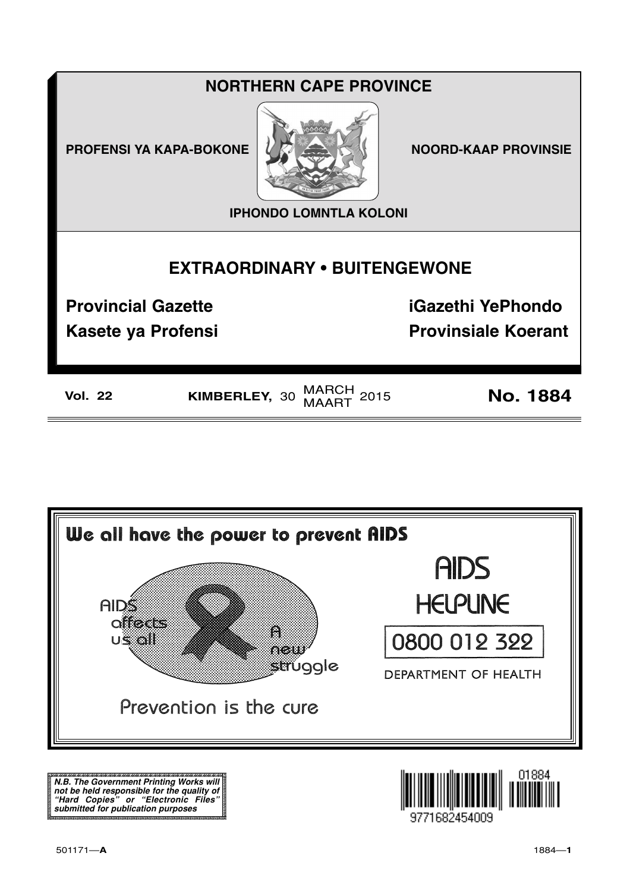## **NORTHERN CAPE PROVINCE**

**PROFENSI YA KAPA-BOKONE** 



**NOORD-KAAP PROVINSIE** 

**IPHONDO LOMNTLA KOLONI** 

# **EXTRAORDINARY . BUITENGEWONE**

**Provincial Gazette** 

**Kasete ya Profensi** 

**iGazethi YePhondo Provinsiale Koerant** 

| Vol. | מר |  |
|------|----|--|

KIMBERLEY, 30 MARCH 2015

**No. 1884** 



N.B. The Government Printing Works will iv.b. The Government Printing works will<br>not be held responsible for the quality of<br>"Hard" Copies" or "Electronic Files"<br>submitted for publication purposes